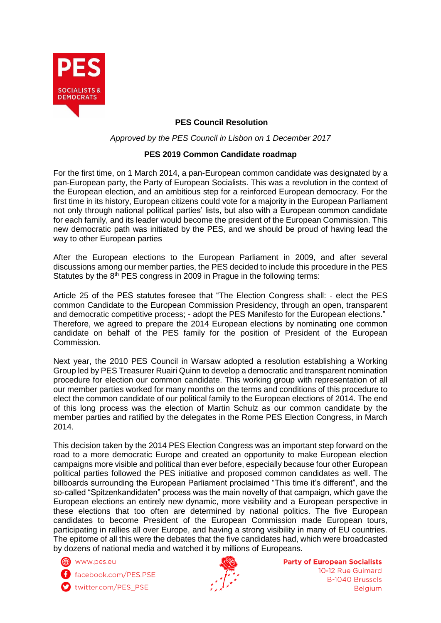

## **PES Council Resolution**

*Approved by the PES Council in Lisbon on 1 December 2017*

## **PES 2019 Common Candidate roadmap**

For the first time, on 1 March 2014, a pan-European common candidate was designated by a pan-European party, the Party of European Socialists. This was a revolution in the context of the European election, and an ambitious step for a reinforced European democracy. For the first time in its history, European citizens could vote for a majority in the European Parliament not only through national political parties' lists, but also with a European common candidate for each family, and its leader would become the president of the European Commission. This new democratic path was initiated by the PES, and we should be proud of having lead the way to other European parties

After the European elections to the European Parliament in 2009, and after several discussions among our member parties, the PES decided to include this procedure in the PES Statutes by the 8<sup>th</sup> PES congress in 2009 in Prague in the following terms:

Article 25 of the PES statutes foresee that "The Election Congress shall: - elect the PES common Candidate to the European Commission Presidency, through an open, transparent and democratic competitive process; - adopt the PES Manifesto for the European elections." Therefore, we agreed to prepare the 2014 European elections by nominating one common candidate on behalf of the PES family for the position of President of the European Commission.

Next year, the 2010 PES Council in Warsaw adopted a resolution establishing a Working Group led by PES Treasurer Ruairi Quinn to develop a democratic and transparent nomination procedure for election our common candidate. This working group with representation of all our member parties worked for many months on the terms and conditions of this procedure to elect the common candidate of our political family to the European elections of 2014. The end of this long process was the election of Martin Schulz as our common candidate by the member parties and ratified by the delegates in the Rome PES Election Congress, in March 2014.

This decision taken by the 2014 PES Election Congress was an important step forward on the road to a more democratic Europe and created an opportunity to make European election campaigns more visible and political than ever before, especially because four other European political parties followed the PES initiative and proposed common candidates as well. The billboards surrounding the European Parliament proclaimed "This time it's different", and the so-called "Spitzenkandidaten" process was the main novelty of that campaign, which gave the European elections an entirely new dynamic, more visibility and a European perspective in these elections that too often are determined by national politics. The five European candidates to become President of the European Commission made European tours, participating in rallies all over Europe, and having a strong visibility in many of EU countries. The epitome of all this were the debates that the five candidates had, which were broadcasted by dozens of national media and watched it by millions of Europeans.

() www.pes.eu

f facebook.com/PES.PSE

twitter.com/PES\_PSE



**Party of European Socialists** 10-12 Rue Guimard **B-1040 Brussels Belgium**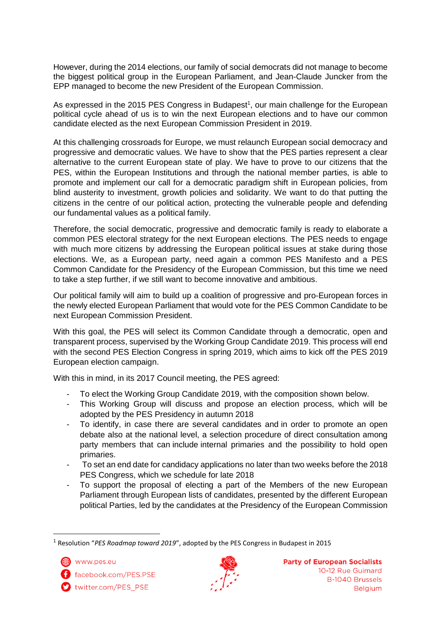However, during the 2014 elections, our family of social democrats did not manage to become the biggest political group in the European Parliament, and Jean-Claude Juncker from the EPP managed to become the new President of the European Commission.

As expressed in the 2015 PES Congress in Budapest<sup>1</sup>, our main challenge for the European political cycle ahead of us is to win the next European elections and to have our common candidate elected as the next European Commission President in 2019.

At this challenging crossroads for Europe, we must relaunch European social democracy and progressive and democratic values. We have to show that the PES parties represent a clear alternative to the current European state of play. We have to prove to our citizens that the PES, within the European Institutions and through the national member parties, is able to promote and implement our call for a democratic paradigm shift in European policies, from blind austerity to investment, growth policies and solidarity. We want to do that putting the citizens in the centre of our political action, protecting the vulnerable people and defending our fundamental values as a political family.

Therefore, the social democratic, progressive and democratic family is ready to elaborate a common PES electoral strategy for the next European elections. The PES needs to engage with much more citizens by addressing the European political issues at stake during those elections. We, as a European party, need again a common PES Manifesto and a PES Common Candidate for the Presidency of the European Commission, but this time we need to take a step further, if we still want to become innovative and ambitious.

Our political family will aim to build up a coalition of progressive and pro-European forces in the newly elected European Parliament that would vote for the PES Common Candidate to be next European Commission President.

With this goal, the PES will select its Common Candidate through a democratic, open and transparent process, supervised by the Working Group Candidate 2019. This process will end with the second PES Election Congress in spring 2019, which aims to kick off the PES 2019 European election campaign.

With this in mind, in its 2017 Council meeting, the PES agreed:

- To elect the Working Group Candidate 2019, with the composition shown below.
- This Working Group will discuss and propose an election process, which will be adopted by the PES Presidency in autumn 2018
- To identify, in case there are several candidates and in order to promote an open debate also at the national level, a selection procedure of direct consultation among party members that can include internal primaries and the possibility to hold open primaries.
- To set an end date for candidacy applications no later than two weeks before the 2018 PES Congress, which we schedule for late 2018
- To support the proposal of electing a part of the Members of the new European Parliament through European lists of candidates, presented by the different European political Parties, led by the candidates at the Presidency of the European Commission

**.** 



twitter.com/PES\_PSE



<sup>1</sup> Resolution "*PES Roadmap toward 2019*", adopted by the PES Congress in Budapest in 2015